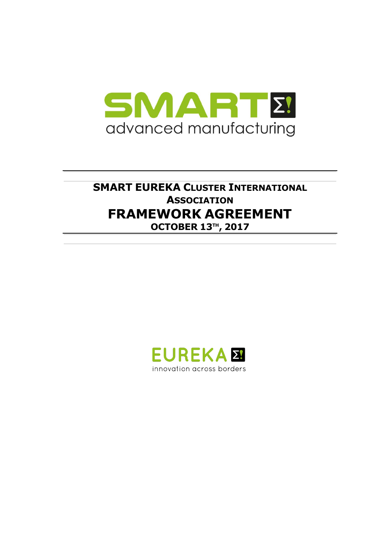

# **SMART EUREKA CLUSTER INTERNATIONAL ASSOCIATION FRAMEWORK AGREEMENT OCTOBER 13TH , 2017**

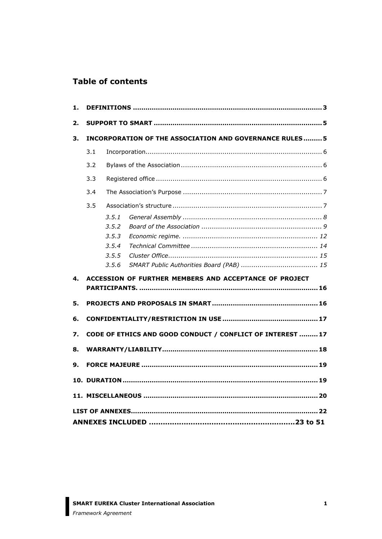### **Table of contents**

| 1. |                                                                |                                                    |                                                        |  |  |  |
|----|----------------------------------------------------------------|----------------------------------------------------|--------------------------------------------------------|--|--|--|
| 2. |                                                                |                                                    |                                                        |  |  |  |
| 3. | <b>INCORPORATION OF THE ASSOCIATION AND GOVERNANCE RULES 5</b> |                                                    |                                                        |  |  |  |
|    | 3.1                                                            |                                                    |                                                        |  |  |  |
|    | 3.2                                                            |                                                    |                                                        |  |  |  |
|    | 3.3                                                            |                                                    |                                                        |  |  |  |
|    | 3.4                                                            |                                                    |                                                        |  |  |  |
|    | 3.5                                                            |                                                    |                                                        |  |  |  |
|    |                                                                | 3.5.1<br>3.5.2<br>3.5.3<br>3.5.4<br>3.5.5<br>3.5.6 |                                                        |  |  |  |
| 4. |                                                                |                                                    | ACCESSION OF FURTHER MEMBERS AND ACCEPTANCE OF PROJECT |  |  |  |
|    |                                                                |                                                    |                                                        |  |  |  |
| 5. |                                                                |                                                    |                                                        |  |  |  |
| 6. |                                                                |                                                    |                                                        |  |  |  |
| 7. | CODE OF ETHICS AND GOOD CONDUCT / CONFLICT OF INTEREST  17     |                                                    |                                                        |  |  |  |
| 8. |                                                                |                                                    |                                                        |  |  |  |
| 9. |                                                                |                                                    |                                                        |  |  |  |
|    |                                                                |                                                    |                                                        |  |  |  |
|    |                                                                |                                                    |                                                        |  |  |  |
|    |                                                                |                                                    |                                                        |  |  |  |
|    |                                                                |                                                    |                                                        |  |  |  |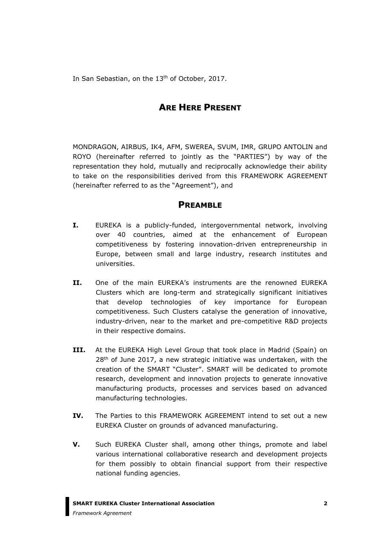In San Sebastian, on the 13<sup>th</sup> of October, 2017.

### **ARE HERE PRESENT**

MONDRAGON, AIRBUS, IK4, AFM, SWEREA, SVUM, IMR, GRUPO ANTOLIN and ROYO (hereinafter referred to jointly as the "PARTIES") by way of the representation they hold, mutually and reciprocally acknowledge their ability to take on the responsibilities derived from this FRAMEWORK AGREEMENT (hereinafter referred to as the "Agreement"), and

### **PREAMBLE**

- **I.** EUREKA is a publicly-funded, intergovernmental network, involving over 40 countries, aimed at the enhancement of European competitiveness by fostering innovation-driven entrepreneurship in Europe, between small and large industry, research institutes and universities.
- **II.** One of the main EUREKA's instruments are the renowned EUREKA Clusters which are long-term and strategically significant initiatives that develop technologies of key importance for European competitiveness. Such Clusters catalyse the generation of innovative, industry-driven, near to the market and pre-competitive R&D projects in their respective domains.
- **III.** At the EUREKA High Level Group that took place in Madrid (Spain) on 28<sup>th</sup> of June 2017, a new strategic initiative was undertaken, with the creation of the SMART "Cluster". SMART will be dedicated to promote research, development and innovation projects to generate innovative manufacturing products, processes and services based on advanced manufacturing technologies.
- **IV.** The Parties to this FRAMEWORK AGREEMENT intend to set out a new EUREKA Cluster on grounds of advanced manufacturing.
- **V.** Such EUREKA Cluster shall, among other things, promote and label various international collaborative research and development projects for them possibly to obtain financial support from their respective national funding agencies.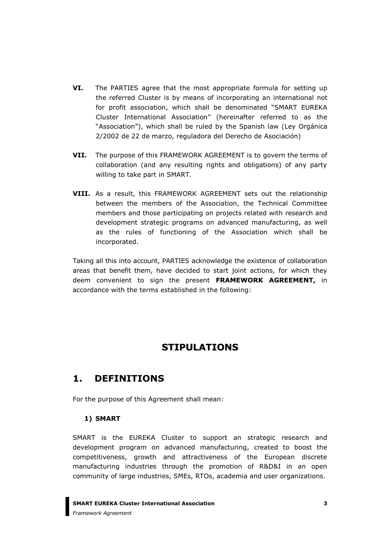- **VI.** The PARTIES agree that the most appropriate formula for setting up the referred Cluster is by means of incorporating an international not for profit association, which shall be denominated "SMART EUREKA Cluster International Association" (hereinafter referred to as the "Association"), which shall be ruled by the Spanish law (Ley Orgánica 2/2002 de 22 de marzo, reguladora del Derecho de Asociación)
- **VII.** The purpose of this FRAMEWORK AGREEMENT is to govern the terms of collaboration (and any resulting rights and obligations) of any party willing to take part in SMART.
- **VIII.** As a result, this FRAMEWORK AGREEMENT sets out the relationship between the members of the Association, the Technical Committee members and those participating on projects related with research and development strategic programs on advanced manufacturing, as well as the rules of functioning of the Association which shall be incorporated.

Taking all this into account, PARTIES acknowledge the existence of collaboration areas that benefit them, have decided to start joint actions, for which they deem convenient to sign the present **FRAMEWORK AGREEMENT,** in accordance with the terms established in the following:

## **STIPULATIONS**

## <span id="page-3-0"></span>**1. DEFINITIONS**

For the purpose of this Agreement shall mean:

### **1) SMART**

SMART is the EUREKA Cluster to support an strategic research and development program on advanced manufacturing, created to boost the competitiveness, growth and attractiveness of the European discrete manufacturing industries through the promotion of R&D&I in an open community of large industries, SMEs, RTOs, academia and user organizations.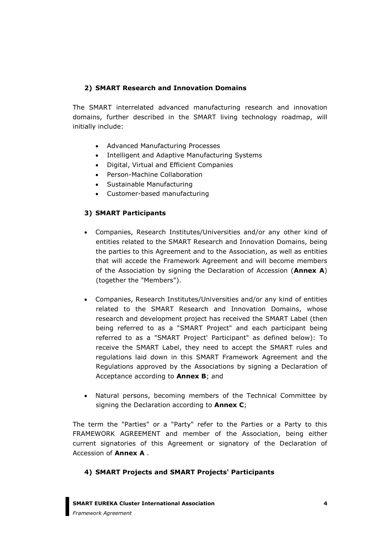#### **2) SMART Research and Innovation Domains**

The SMART interrelated advanced manufacturing research and innovation domains, further described in the SMART living technology roadmap, will initially include:

- Advanced Manufacturing Processes
- Intelligent and Adaptive Manufacturing Systems
- Digital, Virtual and Efficient Companies
- Person-Machine Collaboration
- Sustainable Manufacturing
- Customer-based manufacturing

#### **3) SMART Participants**

- Companies, Research Institutes/Universities and/or any other kind of entities related to the SMART Research and Innovation Domains, being the parties to this Agreement and to the Association, as well as entities that will accede the Framework Agreement and will become members of the Association by signing the Declaration of Accession (**Annex A**) (together the "Members").
- Companies, Research Institutes/Universities and/or any kind of entities related to the SMART Research and Innovation Domains, whose research and development project has received the SMART Label (then being referred to as a "SMART Project" and each participant being referred to as a "SMART Project' Participant" as defined below): To receive the SMART Label, they need to accept the SMART rules and regulations laid down in this SMART Framework Agreement and the Regulations approved by the Associations by signing a Declaration of Acceptance according to **Annex B**; and
- Natural persons, becoming members of the Technical Committee by signing the Declaration according to **Annex C**;

The term the "Parties" or a "Party" refer to the Parties or a Party to this FRAMEWORK AGREEMENT and member of the Association, being either current signatories of this Agreement or signatory of the Declaration of Accession of **Annex A** .

#### **4) SMART Projects and SMART Projects' Participants**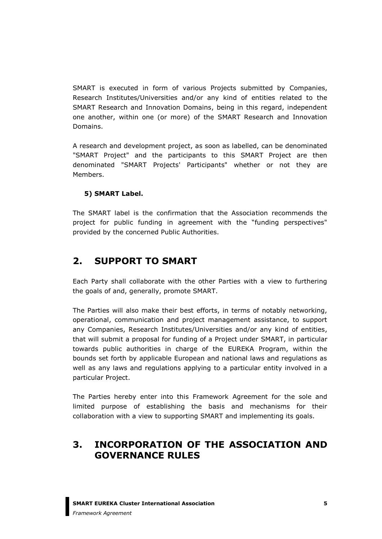SMART is executed in form of various Projects submitted by Companies, Research Institutes/Universities and/or any kind of entities related to the SMART Research and Innovation Domains, being in this regard, independent one another, within one (or more) of the SMART Research and Innovation Domains.

A research and development project, as soon as labelled, can be denominated "SMART Project" and the participants to this SMART Project are then denominated "SMART Projects' Participants" whether or not they are Members.

### **5) SMART Label.**

The SMART label is the confirmation that the Association recommends the project for public funding in agreement with the "funding perspectives" provided by the concerned Public Authorities.

## <span id="page-5-0"></span>**2. SUPPORT TO SMART**

Each Party shall collaborate with the other Parties with a view to furthering the goals of and, generally, promote SMART.

The Parties will also make their best efforts, in terms of notably networking, operational, communication and project management assistance, to support any Companies, Research Institutes/Universities and/or any kind of entities, that will submit a proposal for funding of a Project under SMART, in particular towards public authorities in charge of the EUREKA Program, within the bounds set forth by applicable European and national laws and regulations as well as any laws and regulations applying to a particular entity involved in a particular Project.

The Parties hereby enter into this Framework Agreement for the sole and limited purpose of establishing the basis and mechanisms for their collaboration with a view to supporting SMART and implementing its goals.

## <span id="page-5-1"></span>**3. INCORPORATION OF THE ASSOCIATION AND GOVERNANCE RULES**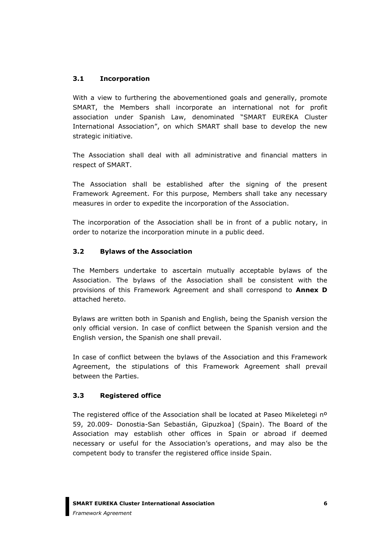#### <span id="page-6-0"></span>**3.1 Incorporation**

With a view to furthering the abovementioned goals and generally, promote SMART, the Members shall incorporate an international not for profit association under Spanish Law, denominated "SMART EUREKA Cluster International Association", on which SMART shall base to develop the new strategic initiative.

The Association shall deal with all administrative and financial matters in respect of SMART.

The Association shall be established after the signing of the present Framework Agreement. For this purpose, Members shall take any necessary measures in order to expedite the incorporation of the Association.

The incorporation of the Association shall be in front of a public notary, in order to notarize the incorporation minute in a public deed.

#### <span id="page-6-1"></span>**3.2 Bylaws of the Association**

The Members undertake to ascertain mutually acceptable bylaws of the Association. The bylaws of the Association shall be consistent with the provisions of this Framework Agreement and shall correspond to **Annex D** attached hereto.

Bylaws are written both in Spanish and English, being the Spanish version the only official version. In case of conflict between the Spanish version and the English version, the Spanish one shall prevail.

In case of conflict between the bylaws of the Association and this Framework Agreement, the stipulations of this Framework Agreement shall prevail between the Parties.

#### <span id="page-6-2"></span>**3.3 Registered office**

The registered office of the Association shall be located at Paseo Mikeletegi nº 59, 20.009- Donostia-San Sebastián, Gipuzkoa] (Spain). The Board of the Association may establish other offices in Spain or abroad if deemed necessary or useful for the Association's operations, and may also be the competent body to transfer the registered office inside Spain.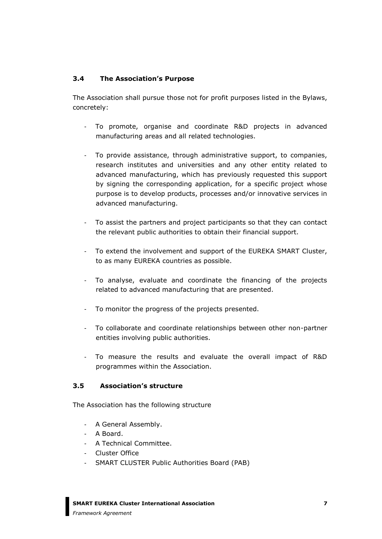#### <span id="page-7-0"></span>**3.4 The Association's Purpose**

The Association shall pursue those not for profit purposes listed in the Bylaws, concretely:

- To promote, organise and coordinate R&D projects in advanced manufacturing areas and all related technologies.
- To provide assistance, through administrative support, to companies, research institutes and universities and any other entity related to advanced manufacturing, which has previously requested this support by signing the corresponding application, for a specific project whose purpose is to develop products, processes and/or innovative services in advanced manufacturing.
- To assist the partners and project participants so that they can contact the relevant public authorities to obtain their financial support.
- To extend the involvement and support of the EUREKA SMART Cluster, to as many EUREKA countries as possible.
- To analyse, evaluate and coordinate the financing of the projects related to advanced manufacturing that are presented.
- To monitor the progress of the projects presented.
- To collaborate and coordinate relationships between other non-partner entities involving public authorities.
- To measure the results and evaluate the overall impact of R&D programmes within the Association.

#### <span id="page-7-1"></span>**3.5 Association's structure**

The Association has the following structure

- A General Assembly.
- A Board.
- A Technical Committee.
- Cluster Office
- SMART CLUSTER Public Authorities Board (PAB)

**SMART EUREKA Cluster International Association**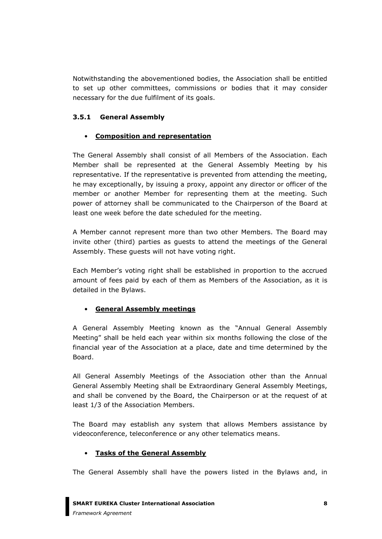Notwithstanding the abovementioned bodies, the Association shall be entitled to set up other committees, commissions or bodies that it may consider necessary for the due fulfilment of its goals.

#### <span id="page-8-0"></span>**3.5.1 General Assembly**

#### • **Composition and representation**

The General Assembly shall consist of all Members of the Association. Each Member shall be represented at the General Assembly Meeting by his representative. If the representative is prevented from attending the meeting, he may exceptionally, by issuing a proxy, appoint any director or officer of the member or another Member for representing them at the meeting. Such power of attorney shall be communicated to the Chairperson of the Board at least one week before the date scheduled for the meeting.

A Member cannot represent more than two other Members. The Board may invite other (third) parties as guests to attend the meetings of the General Assembly. These guests will not have voting right.

Each Member's voting right shall be established in proportion to the accrued amount of fees paid by each of them as Members of the Association, as it is detailed in the Bylaws.

#### • **General Assembly meetings**

A General Assembly Meeting known as the "Annual General Assembly Meeting" shall be held each year within six months following the close of the financial year of the Association at a place, date and time determined by the Board.

All General Assembly Meetings of the Association other than the Annual General Assembly Meeting shall be Extraordinary General Assembly Meetings, and shall be convened by the Board, the Chairperson or at the request of at least 1/3 of the Association Members.

The Board may establish any system that allows Members assistance by videoconference, teleconference or any other telematics means.

#### • **Tasks of the General Assembly**

The General Assembly shall have the powers listed in the Bylaws and, in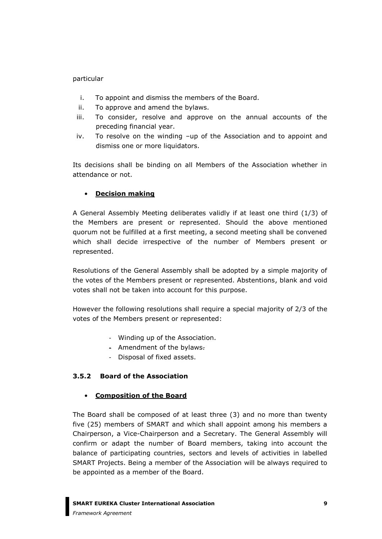#### particular

- i. To appoint and dismiss the members of the Board.
- ii. To approve and amend the bylaws.
- iii. To consider, resolve and approve on the annual accounts of the preceding financial year.
- iv. To resolve on the winding –up of the Association and to appoint and dismiss one or more liquidators.

Its decisions shall be binding on all Members of the Association whether in attendance or not.

#### • **Decision making**

A General Assembly Meeting deliberates validly if at least one third (1/3) of the Members are present or represented. Should the above mentioned quorum not be fulfilled at a first meeting, a second meeting shall be convened which shall decide irrespective of the number of Members present or represented.

Resolutions of the General Assembly shall be adopted by a simple majority of the votes of the Members present or represented. Abstentions, blank and void votes shall not be taken into account for this purpose.

However the following resolutions shall require a special majority of 2/3 of the votes of the Members present or represented:

- Winding up of the Association.
- Amendment of the bylaws.
- Disposal of fixed assets.

### <span id="page-9-0"></span>**3.5.2 Board of the Association**

#### • **Composition of the Board**

The Board shall be composed of at least three (3) and no more than twenty five (25) members of SMART and which shall appoint among his members a Chairperson, a Vice-Chairperson and a Secretary. The General Assembly will confirm or adapt the number of Board members, taking into account the balance of participating countries, sectors and levels of activities in labelled SMART Projects. Being a member of the Association will be always required to be appointed as a member of the Board.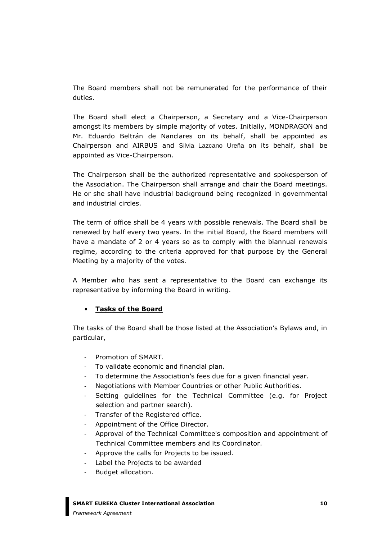The Board members shall not be remunerated for the performance of their duties.

The Board shall elect a Chairperson, a Secretary and a Vice-Chairperson amongst its members by simple majority of votes. Initially, MONDRAGON and Mr. Eduardo Beltrán de Nanclares on its behalf, shall be appointed as Chairperson and AIRBUS and Silvia Lazcano Ureña on its behalf, shall be appointed as Vice-Chairperson.

The Chairperson shall be the authorized representative and spokesperson of the Association. The Chairperson shall arrange and chair the Board meetings. He or she shall have industrial background being recognized in governmental and industrial circles.

The term of office shall be 4 years with possible renewals. The Board shall be renewed by half every two years. In the initial Board, the Board members will have a mandate of 2 or 4 years so as to comply with the biannual renewals regime, according to the criteria approved for that purpose by the General Meeting by a majority of the votes.

A Member who has sent a representative to the Board can exchange its representative by informing the Board in writing.

#### • **Tasks of the Board**

The tasks of the Board shall be those listed at the Association's Bylaws and, in particular,

- Promotion of SMART.
- To validate economic and financial plan.
- To determine the Association's fees due for a given financial year.
- Negotiations with Member Countries or other Public Authorities.
- Setting guidelines for the Technical Committee (e.g. for Project selection and partner search).
- Transfer of the Registered office.
- Appointment of the Office Director.
- Approval of the Technical Committee's composition and appointment of Technical Committee members and its Coordinator.
- Approve the calls for Projects to be issued.
- Label the Projects to be awarded
- Budget allocation.

#### **SMART EUREKA Cluster International Association**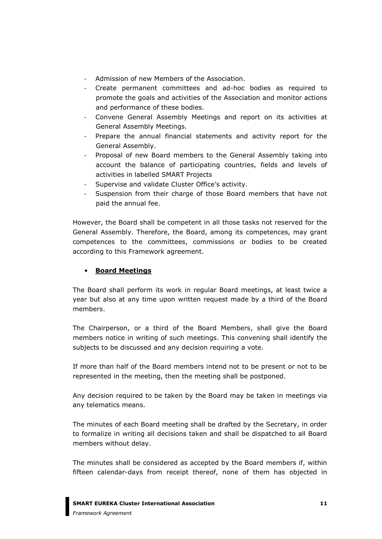- Admission of new Members of the Association.
- Create permanent committees and ad-hoc bodies as required to promote the goals and activities of the Association and monitor actions and performance of these bodies.
- Convene General Assembly Meetings and report on its activities at General Assembly Meetings.
- Prepare the annual financial statements and activity report for the General Assembly.
- Proposal of new Board members to the General Assembly taking into account the balance of participating countries, fields and levels of activities in labelled SMART Projects
- Supervise and validate Cluster Office's activity.
- Suspension from their charge of those Board members that have not paid the annual fee.

However, the Board shall be competent in all those tasks not reserved for the General Assembly. Therefore, the Board, among its competences, may grant competences to the committees, commissions or bodies to be created according to this Framework agreement.

#### • **Board Meetings**

The Board shall perform its work in regular Board meetings, at least twice a year but also at any time upon written request made by a third of the Board members.

The Chairperson, or a third of the Board Members, shall give the Board members notice in writing of such meetings. This convening shall identify the subjects to be discussed and any decision requiring a vote.

If more than half of the Board members intend not to be present or not to be represented in the meeting, then the meeting shall be postponed.

Any decision required to be taken by the Board may be taken in meetings via any telematics means.

The minutes of each Board meeting shall be drafted by the Secretary, in order to formalize in writing all decisions taken and shall be dispatched to all Board members without delay.

The minutes shall be considered as accepted by the Board members if, within fifteen calendar-days from receipt thereof, none of them has objected in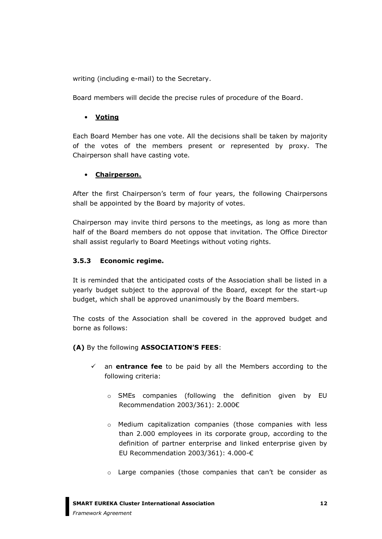writing (including e-mail) to the Secretary.

Board members will decide the precise rules of procedure of the Board.

#### • **Voting**

Each Board Member has one vote. All the decisions shall be taken by majority of the votes of the members present or represented by proxy. The Chairperson shall have casting vote.

#### • **Chairperson.**

After the first Chairperson's term of four years, the following Chairpersons shall be appointed by the Board by majority of votes.

Chairperson may invite third persons to the meetings, as long as more than half of the Board members do not oppose that invitation. The Office Director shall assist regularly to Board Meetings without voting rights.

#### <span id="page-12-0"></span>**3.5.3 Economic regime.**

It is reminded that the anticipated costs of the Association shall be listed in a yearly budget subject to the approval of the Board, except for the start-up budget, which shall be approved unanimously by the Board members.

The costs of the Association shall be covered in the approved budget and borne as follows:

**(A)** By the following **ASSOCIATION'S FEES**:

- ✓ an **entrance fee** to be paid by all the Members according to the following criteria:
	- o SMEs companies (following the definition given by EU Recommendation 2003/361): 2.000€
	- o Medium capitalization companies (those companies with less than 2.000 employees in its corporate group, according to the definition of partner enterprise and linked enterprise given by EU Recommendation 2003/361): 4.000-€
	- o Large companies (those companies that can't be consider as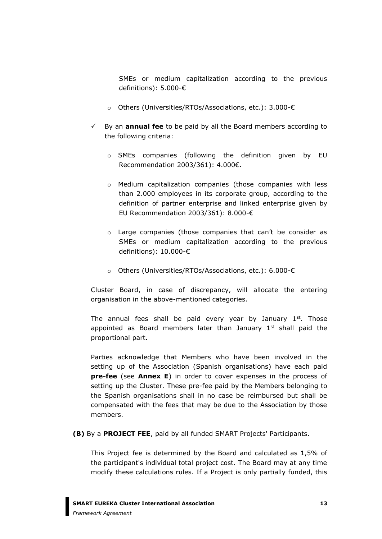SMEs or medium capitalization according to the previous definitions): 5.000-€

- o Others (Universities/RTOs/Associations, etc.): 3.000-€
- ✓ By an **annual fee** to be paid by all the Board members according to the following criteria:
	- o SMEs companies (following the definition given by EU Recommendation 2003/361): 4.000€.
	- o Medium capitalization companies (those companies with less than 2.000 employees in its corporate group, according to the definition of partner enterprise and linked enterprise given by EU Recommendation 2003/361): 8.000-€
	- o Large companies (those companies that can't be consider as SMEs or medium capitalization according to the previous definitions): 10.000-€
	- o Others (Universities/RTOs/Associations, etc.): 6.000-€

Cluster Board, in case of discrepancy, will allocate the entering organisation in the above-mentioned categories.

The annual fees shall be paid every year by January  $1<sup>st</sup>$ . Those appointed as Board members later than January  $1<sup>st</sup>$  shall paid the proportional part.

Parties acknowledge that Members who have been involved in the setting up of the Association (Spanish organisations) have each paid **pre-fee** (see **Annex E**) in order to cover expenses in the process of setting up the Cluster. These pre-fee paid by the Members belonging to the Spanish organisations shall in no case be reimbursed but shall be compensated with the fees that may be due to the Association by those members.

**(B)** By a **PROJECT FEE**, paid by all funded SMART Projects' Participants.

This Project fee is determined by the Board and calculated as 1,5% of the participant's individual total project cost. The Board may at any time modify these calculations rules. If a Project is only partially funded, this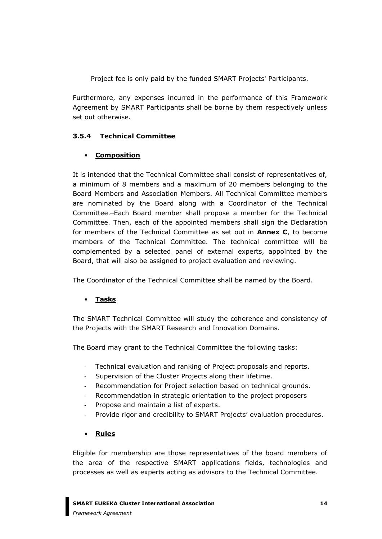Project fee is only paid by the funded SMART Projects' Participants.

Furthermore, any expenses incurred in the performance of this Framework Agreement by SMART Participants shall be borne by them respectively unless set out otherwise.

### <span id="page-14-0"></span>**3.5.4 Technical Committee**

#### • **Composition**

It is intended that the Technical Committee shall consist of representatives of, a minimum of 8 members and a maximum of 20 members belonging to the Board Members and Association Members. All Technical Committee members are nominated by the Board along with a Coordinator of the Technical Committee. Each Board member shall propose a member for the Technical Committee. Then, each of the appointed members shall sign the Declaration for members of the Technical Committee as set out in **Annex C**, to become members of the Technical Committee. The technical committee will be complemented by a selected panel of external experts, appointed by the Board, that will also be assigned to project evaluation and reviewing.

The Coordinator of the Technical Committee shall be named by the Board.

### • **Tasks**

The SMART Technical Committee will study the coherence and consistency of the Projects with the SMART Research and Innovation Domains.

The Board may grant to the Technical Committee the following tasks:

- Technical evaluation and ranking of Project proposals and reports.
- Supervision of the Cluster Projects along their lifetime.
- Recommendation for Project selection based on technical grounds.
- Recommendation in strategic orientation to the project proposers
- Propose and maintain a list of experts.
- Provide rigor and credibility to SMART Projects' evaluation procedures.

#### • **Rules**

Eligible for membership are those representatives of the board members of the area of the respective SMART applications fields, technologies and processes as well as experts acting as advisors to the Technical Committee.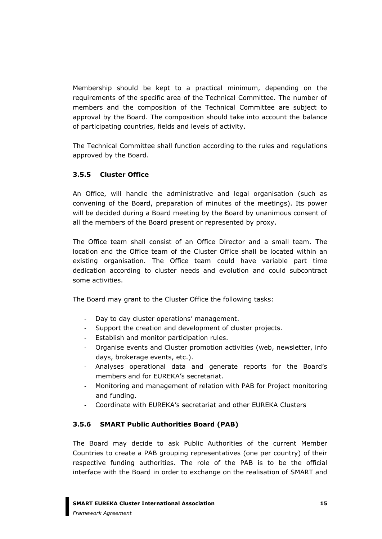Membership should be kept to a practical minimum, depending on the requirements of the specific area of the Technical Committee. The number of members and the composition of the Technical Committee are subject to approval by the Board. The composition should take into account the balance of participating countries, fields and levels of activity.

The Technical Committee shall function according to the rules and regulations approved by the Board.

### <span id="page-15-0"></span>**3.5.5 Cluster Office**

An Office, will handle the administrative and legal organisation (such as convening of the Board, preparation of minutes of the meetings). Its power will be decided during a Board meeting by the Board by unanimous consent of all the members of the Board present or represented by proxy.

The Office team shall consist of an Office Director and a small team. The location and the Office team of the Cluster Office shall be located within an existing organisation. The Office team could have variable part time dedication according to cluster needs and evolution and could subcontract some activities.

The Board may grant to the Cluster Office the following tasks:

- Day to day cluster operations' management.
- Support the creation and development of cluster projects.
- Establish and monitor participation rules.
- Organise events and Cluster promotion activities (web, newsletter, info days, brokerage events, etc.).
- Analyses operational data and generate reports for the Board's members and for EUREKA's secretariat.
- Monitoring and management of relation with PAB for Project monitoring and funding.
- Coordinate with EUREKA's secretariat and other EUREKA Clusters

### <span id="page-15-1"></span>**3.5.6 SMART Public Authorities Board (PAB)**

The Board may decide to ask Public Authorities of the current Member Countries to create a PAB grouping representatives (one per country) of their respective funding authorities. The role of the PAB is to be the official interface with the Board in order to exchange on the realisation of SMART and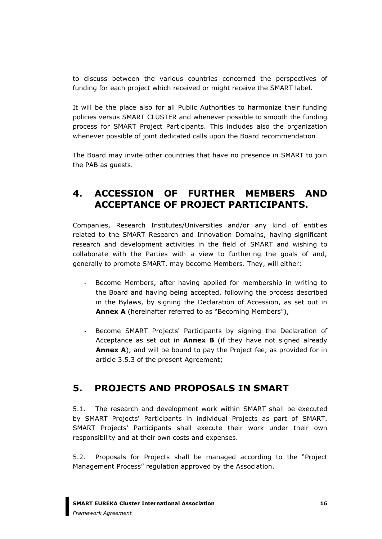to discuss between the various countries concerned the perspectives of funding for each project which received or might receive the SMART label.

It will be the place also for all Public Authorities to harmonize their funding policies versus SMART CLUSTER and whenever possible to smooth the funding process for SMART Project Participants. This includes also the organization whenever possible of joint dedicated calls upon the Board recommendation

The Board may invite other countries that have no presence in SMART to join the PAB as guests.

## <span id="page-16-0"></span>**4. ACCESSION OF FURTHER MEMBERS AND ACCEPTANCE OF PROJECT PARTICIPANTS.**

Companies, Research Institutes/Universities and/or any kind of entities related to the SMART Research and Innovation Domains, having significant research and development activities in the field of SMART and wishing to collaborate with the Parties with a view to furthering the goals of and, generally to promote SMART, may become Members. They, will either:

- Become Members, after having applied for membership in writing to the Board and having being accepted, following the process described in the Bylaws, by signing the Declaration of Accession, as set out in **Annex A** (hereinafter referred to as "Becoming Members"),
- Become SMART Projects' Participants by signing the Declaration of Acceptance as set out in **Annex B** (if they have not signed already **Annex A**), and will be bound to pay the Project fee, as provided for in article 3.5.3 of the present Agreement;

## <span id="page-16-1"></span>**5. PROJECTS AND PROPOSALS IN SMART**

5.1. The research and development work within SMART shall be executed by SMART Projects' Participants in individual Projects as part of SMART. SMART Projects' Participants shall execute their work under their own responsibility and at their own costs and expenses.

5.2. Proposals for Projects shall be managed according to the "Project Management Process" regulation approved by the Association.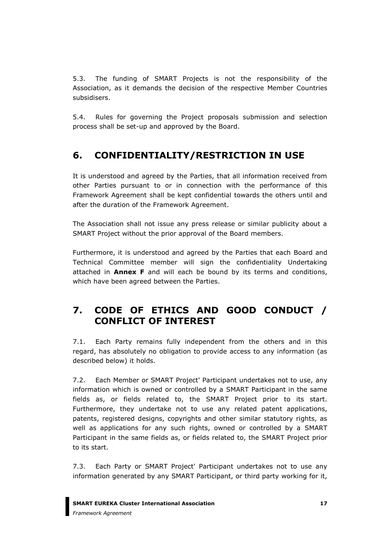5.3. The funding of SMART Projects is not the responsibility of the Association, as it demands the decision of the respective Member Countries subsidisers.

5.4. Rules for governing the Project proposals submission and selection process shall be set-up and approved by the Board.

# <span id="page-17-0"></span>**6. CONFIDENTIALITY/RESTRICTION IN USE**

It is understood and agreed by the Parties, that all information received from other Parties pursuant to or in connection with the performance of this Framework Agreement shall be kept confidential towards the others until and after the duration of the Framework Agreement.

The Association shall not issue any press release or similar publicity about a SMART Project without the prior approval of the Board members.

Furthermore, it is understood and agreed by the Parties that each Board and Technical Committee member will sign the confidentiality Undertaking attached in **Annex F** and will each be bound by its terms and conditions, which have been agreed between the Parties.

# <span id="page-17-1"></span>**7. CODE OF ETHICS AND GOOD CONDUCT / CONFLICT OF INTEREST**

7.1. Each Party remains fully independent from the others and in this regard, has absolutely no obligation to provide access to any information (as described below) it holds.

7.2. Each Member or SMART Project' Participant undertakes not to use, any information which is owned or controlled by a SMART Participant in the same fields as, or fields related to, the SMART Project prior to its start. Furthermore, they undertake not to use any related patent applications, patents, registered designs, copyrights and other similar statutory rights, as well as applications for any such rights, owned or controlled by a SMART Participant in the same fields as, or fields related to, the SMART Project prior to its start.

7.3. Each Party or SMART Project' Participant undertakes not to use any information generated by any SMART Participant, or third party working for it,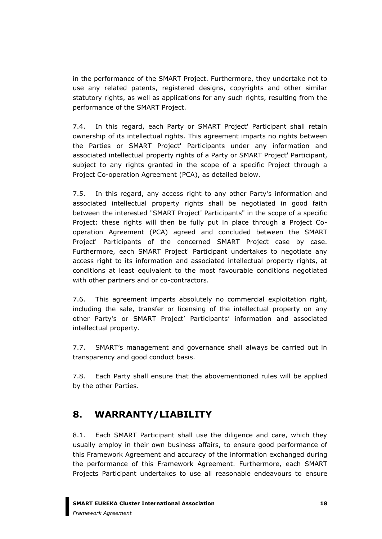in the performance of the SMART Project. Furthermore, they undertake not to use any related patents, registered designs, copyrights and other similar statutory rights, as well as applications for any such rights, resulting from the performance of the SMART Project.

7.4. In this regard, each Party or SMART Project' Participant shall retain ownership of its intellectual rights. This agreement imparts no rights between the Parties or SMART Project' Participants under any information and associated intellectual property rights of a Party or SMART Project' Participant, subject to any rights granted in the scope of a specific Project through a Project Co-operation Agreement (PCA), as detailed below.

7.5. In this regard, any access right to any other Party's information and associated intellectual property rights shall be negotiated in good faith between the interested "SMART Project' Participants" in the scope of a specific Project: these rights will then be fully put in place through a Project Cooperation Agreement (PCA) agreed and concluded between the SMART Project' Participants of the concerned SMART Project case by case. Furthermore, each SMART Project' Participant undertakes to negotiate any access right to its information and associated intellectual property rights, at conditions at least equivalent to the most favourable conditions negotiated with other partners and or co-contractors.

7.6. This agreement imparts absolutely no commercial exploitation right, including the sale, transfer or licensing of the intellectual property on any other Party's or SMART Project' Participants' information and associated intellectual property.

7.7. SMART's management and governance shall always be carried out in transparency and good conduct basis.

7.8. Each Party shall ensure that the abovementioned rules will be applied by the other Parties.

# <span id="page-18-0"></span>**8. WARRANTY/LIABILITY**

8.1. Each SMART Participant shall use the diligence and care, which they usually employ in their own business affairs, to ensure good performance of this Framework Agreement and accuracy of the information exchanged during the performance of this Framework Agreement. Furthermore, each SMART Projects Participant undertakes to use all reasonable endeavours to ensure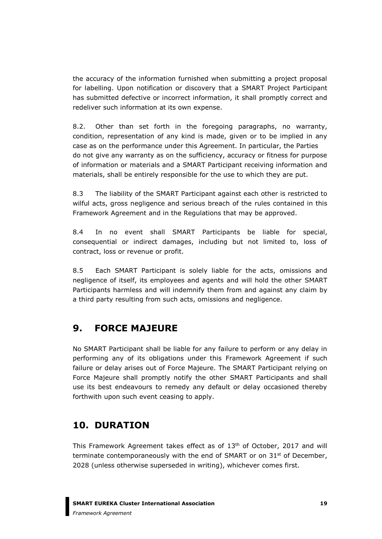the accuracy of the information furnished when submitting a project proposal for labelling. Upon notification or discovery that a SMART Project Participant has submitted defective or incorrect information, it shall promptly correct and redeliver such information at its own expense.

8.2. Other than set forth in the foregoing paragraphs, no warranty, condition, representation of any kind is made, given or to be implied in any case as on the performance under this Agreement. In particular, the Parties do not give any warranty as on the sufficiency, accuracy or fitness for purpose of information or materials and a SMART Participant receiving information and materials, shall be entirely responsible for the use to which they are put.

8.3 The liability of the SMART Participant against each other is restricted to wilful acts, gross negligence and serious breach of the rules contained in this Framework Agreement and in the Regulations that may be approved.

8.4 In no event shall SMART Participants be liable for special, consequential or indirect damages, including but not limited to, loss of contract, loss or revenue or profit.

8.5 Each SMART Participant is solely liable for the acts, omissions and negligence of itself, its employees and agents and will hold the other SMART Participants harmless and will indemnify them from and against any claim by a third party resulting from such acts, omissions and negligence.

# <span id="page-19-0"></span>**9. FORCE MAJEURE**

No SMART Participant shall be liable for any failure to perform or any delay in performing any of its obligations under this Framework Agreement if such failure or delay arises out of Force Majeure. The SMART Participant relying on Force Majeure shall promptly notify the other SMART Participants and shall use its best endeavours to remedy any default or delay occasioned thereby forthwith upon such event ceasing to apply.

# <span id="page-19-1"></span>**10. DURATION**

This Framework Agreement takes effect as of 13<sup>th</sup> of October, 2017 and will terminate contemporaneously with the end of SMART or on  $31<sup>st</sup>$  of December, 2028 (unless otherwise superseded in writing), whichever comes first.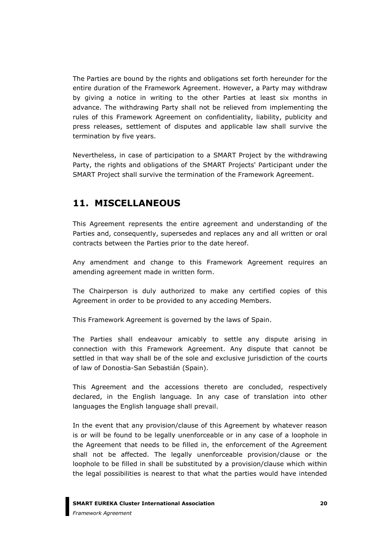The Parties are bound by the rights and obligations set forth hereunder for the entire duration of the Framework Agreement. However, a Party may withdraw by giving a notice in writing to the other Parties at least six months in advance. The withdrawing Party shall not be relieved from implementing the rules of this Framework Agreement on confidentiality, liability, publicity and press releases, settlement of disputes and applicable law shall survive the termination by five years.

Nevertheless, in case of participation to a SMART Project by the withdrawing Party, the rights and obligations of the SMART Projects' Participant under the SMART Project shall survive the termination of the Framework Agreement.

## <span id="page-20-0"></span>**11. MISCELLANEOUS**

This Agreement represents the entire agreement and understanding of the Parties and, consequently, supersedes and replaces any and all written or oral contracts between the Parties prior to the date hereof.

Any amendment and change to this Framework Agreement requires an amending agreement made in written form.

The Chairperson is duly authorized to make any certified copies of this Agreement in order to be provided to any acceding Members.

This Framework Agreement is governed by the laws of Spain.

The Parties shall endeavour amicably to settle any dispute arising in connection with this Framework Agreement. Any dispute that cannot be settled in that way shall be of the sole and exclusive jurisdiction of the courts of law of Donostia-San Sebastián (Spain).

This Agreement and the accessions thereto are concluded, respectively declared, in the English language. In any case of translation into other languages the English language shall prevail.

In the event that any provision/clause of this Agreement by whatever reason is or will be found to be legally unenforceable or in any case of a loophole in the Agreement that needs to be filled in, the enforcement of the Agreement shall not be affected. The legally unenforceable provision/clause or the loophole to be filled in shall be substituted by a provision/clause which within the legal possibilities is nearest to that what the parties would have intended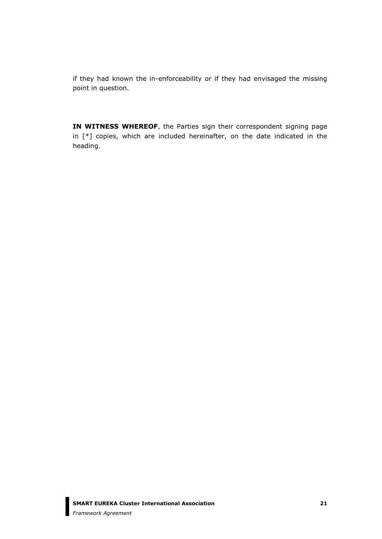if they had known the in-enforceability or if they had envisaged the missing point in question.

**IN WITNESS WHEREOF**, the Parties sign their correspondent signing page in [\*] copies, which are included hereinafter, on the date indicated in the heading.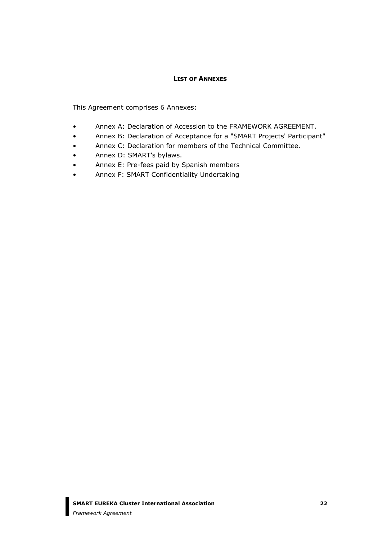#### **LIST OF ANNEXES**

<span id="page-22-0"></span>This Agreement comprises 6 Annexes:

- Annex A: Declaration of Accession to the FRAMEWORK AGREEMENT.
- Annex B: Declaration of Acceptance for a "SMART Projects' Participant"
- Annex C: Declaration for members of the Technical Committee.
- Annex D: SMART's bylaws.
- Annex E: Pre-fees paid by Spanish members
- Annex F: SMART Confidentiality Undertaking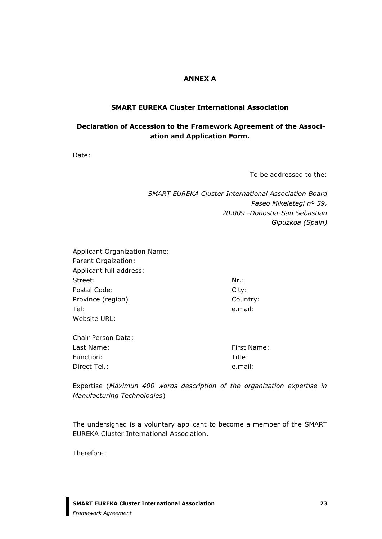#### **ANNEX A**

#### **SMART EUREKA Cluster International Association**

### **Declaration of Accession to the Framework Agreement of the Association and Application Form.**

Date:

To be addressed to the:

*SMART EUREKA Cluster International Association Board Paseo Mikeletegi nº 59, 20.009 -Donostia-San Sebastian Gipuzkoa (Spain)*

| <b>Applicant Organization Name:</b> |           |  |  |  |  |  |
|-------------------------------------|-----------|--|--|--|--|--|
| Parent Orgaization:                 |           |  |  |  |  |  |
| Applicant full address:             |           |  |  |  |  |  |
| Street:                             | $Nr.$ :   |  |  |  |  |  |
| Postal Code:                        | City:     |  |  |  |  |  |
| Province (region)                   | Country:  |  |  |  |  |  |
| Tel:                                | e.mail:   |  |  |  |  |  |
| Website URL:                        |           |  |  |  |  |  |
| Chair Person Data:                  |           |  |  |  |  |  |
| Last Name:                          | First Nan |  |  |  |  |  |

| Chail I Clour Data. |             |
|---------------------|-------------|
| Last Name:          | First Name: |
| Function:           | Title:      |
| Direct Tel.:        | e.mail:     |
|                     |             |

Expertise (*Máximun 400 words description of the organization expertise in Manufacturing Technologies*)

The undersigned is a voluntary applicant to become a member of the SMART EUREKA Cluster International Association.

Therefore: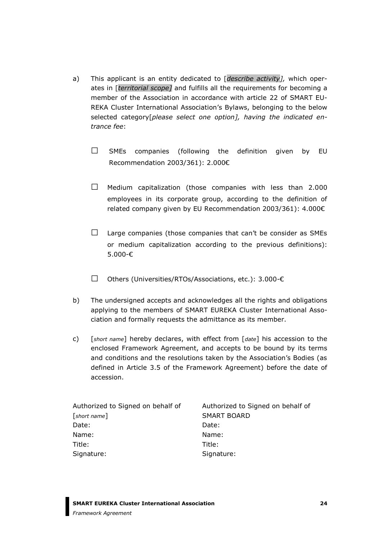- a) This applicant is an entity dedicated to [*describe activity],* which operates in [*territorial scope]* and fulfills all the requirements for becoming a member of the Association in accordance with article 22 of SMART EU-REKA Cluster International Association's Bylaws, belonging to the below selected category[*please select one option], having the indicated entrance fee*:
	- $\square$  SMEs companies (following the definition given by EU Recommendation 2003/361): 2.000€
	- $\square$  Medium capitalization (those companies with less than 2.000 employees in its corporate group, according to the definition of related company given by EU Recommendation 2003/361): 4.000€
	- $\Box$  Large companies (those companies that can't be consider as SMEs or medium capitalization according to the previous definitions): 5.000-€
	- □ Others (Universities/RTOs/Associations, etc.): 3.000-€
- b) The undersigned accepts and acknowledges all the rights and obligations applying to the members of SMART EUREKA Cluster International Association and formally requests the admittance as its member.
- c) [*short name*] hereby declares, with effect from [*date*] his accession to the enclosed Framework Agreement, and accepts to be bound by its terms and conditions and the resolutions taken by the Association's Bodies (as defined in Article 3.5 of the Framework Agreement) before the date of accession.

| Authorized to Signed on behalf of | Authorized to Signed on behalf of |  |
|-----------------------------------|-----------------------------------|--|
| $[short\ name]$                   | <b>SMART BOARD</b>                |  |
| Date:                             | Date:                             |  |
| Name:                             | Name:                             |  |
| Title:                            | Title:                            |  |
| Signature:                        | Signature:                        |  |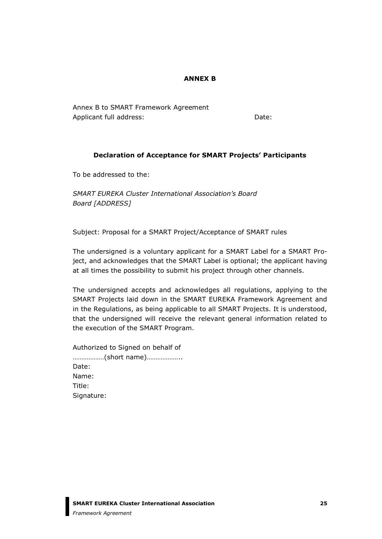#### **ANNEX B**

Annex B to SMART Framework Agreement Applicant full address: Date: Date:

#### **Declaration of Acceptance for SMART Projects' Participants**

To be addressed to the:

*SMART EUREKA Cluster International Association's Board Board [ADDRESS]*

Subject: Proposal for a SMART Project/Acceptance of SMART rules

The undersigned is a voluntary applicant for a SMART Label for a SMART Project, and acknowledges that the SMART Label is optional; the applicant having at all times the possibility to submit his project through other channels.

The undersigned accepts and acknowledges all regulations, applying to the SMART Projects laid down in the SMART EUREKA Framework Agreement and in the Regulations, as being applicable to all SMART Projects. It is understood, that the undersigned will receive the relevant general information related to the execution of the SMART Program.

Authorized to Signed on behalf of ………………(short name)……………….. Date: Name: Title: Signature: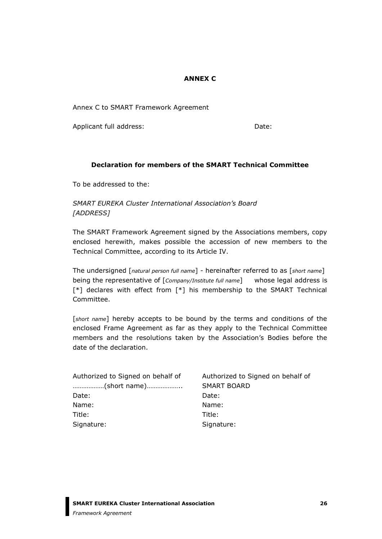#### **ANNEX C**

Annex C to SMART Framework Agreement

Applicant full address: Date: Date:

#### **Declaration for members of the SMART Technical Committee**

To be addressed to the:

*SMART EUREKA Cluster International Association's Board [ADDRESS]*

The SMART Framework Agreement signed by the Associations members, copy enclosed herewith, makes possible the accession of new members to the Technical Committee, according to its Article IV.

The undersigned [*natural person full name*] - hereinafter referred to as [*short name*] being the representative of [*Company/Institute full name*] whose legal address is [\*] declares with effect from [\*] his membership to the SMART Technical Committee.

[*short name*] hereby accepts to be bound by the terms and conditions of the enclosed Frame Agreement as far as they apply to the Technical Committee members and the resolutions taken by the Association's Bodies before the date of the declaration.

| Authorized to Signed on behalf of | Authorized to Signed on behalf of |  |
|-----------------------------------|-----------------------------------|--|
| (short name)                      | <b>SMART BOARD</b>                |  |
| Date:                             | Date:                             |  |
| Name:                             | Name:                             |  |
| Title:                            | Title:                            |  |
| Signature:                        | Signature:                        |  |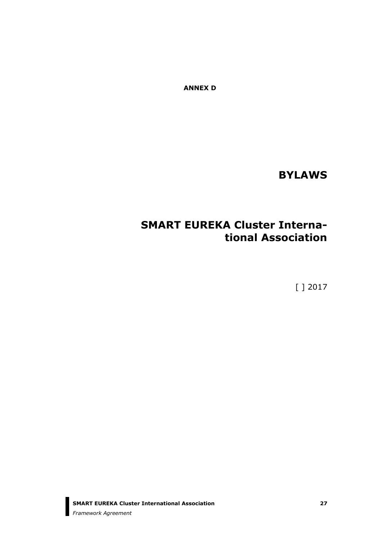**ANNEX D**

**BYLAWS**

# **SMART EUREKA Cluster International Association**

[ ] 2017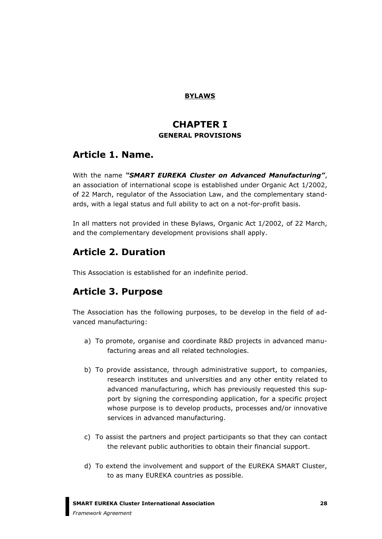#### **BYLAWS**

### **CHAPTER I GENERAL PROVISIONS**

## **Article 1. Name.**

With the name *"SMART EUREKA Cluster on Advanced Manufacturing"*, an association of international scope is established under Organic Act 1/2002, of 22 March, regulator of the Association Law, and the complementary standards, with a legal status and full ability to act on a not-for-profit basis.

In all matters not provided in these Bylaws, Organic Act 1/2002, of 22 March, and the complementary development provisions shall apply.

# **Article 2. Duration**

This Association is established for an indefinite period.

# **Article 3. Purpose**

The Association has the following purposes, to be develop in the field of advanced manufacturing:

- a) To promote, organise and coordinate R&D projects in advanced manufacturing areas and all related technologies.
- b) To provide assistance, through administrative support, to companies, research institutes and universities and any other entity related to advanced manufacturing, which has previously requested this support by signing the corresponding application, for a specific project whose purpose is to develop products, processes and/or innovative services in advanced manufacturing.
- c) To assist the partners and project participants so that they can contact the relevant public authorities to obtain their financial support.
- d) To extend the involvement and support of the EUREKA SMART Cluster, to as many EUREKA countries as possible.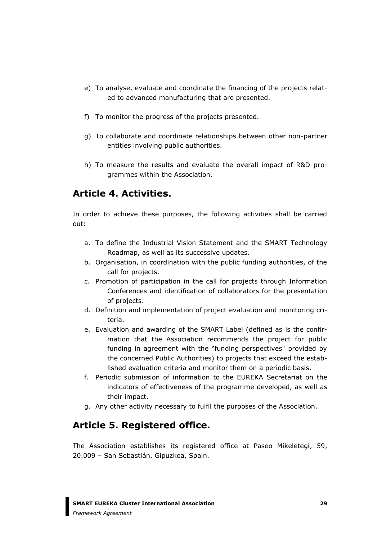- e) To analyse, evaluate and coordinate the financing of the projects related to advanced manufacturing that are presented.
- f) To monitor the progress of the projects presented.
- g) To collaborate and coordinate relationships between other non-partner entities involving public authorities.
- h) To measure the results and evaluate the overall impact of R&D programmes within the Association.

## **Article 4. Activities.**

In order to achieve these purposes, the following activities shall be carried out:

- a. To define the Industrial Vision Statement and the SMART Technology Roadmap, as well as its successive updates.
- b. Organisation, in coordination with the public funding authorities, of the call for projects.
- c. Promotion of participation in the call for projects through Information Conferences and identification of collaborators for the presentation of projects.
- d. Definition and implementation of project evaluation and monitoring criteria.
- e. Evaluation and awarding of the SMART Label (defined as is the confirmation that the Association recommends the project for public funding in agreement with the "funding perspectives" provided by the concerned Public Authorities) to projects that exceed the established evaluation criteria and monitor them on a periodic basis.
- f. Periodic submission of information to the EUREKA Secretariat on the indicators of effectiveness of the programme developed, as well as their impact.
- g. Any other activity necessary to fulfil the purposes of the Association.

# **Article 5. Registered office.**

The Association establishes its registered office at Paseo Mikeletegi, 59, 20.009 – San Sebastián, Gipuzkoa, Spain.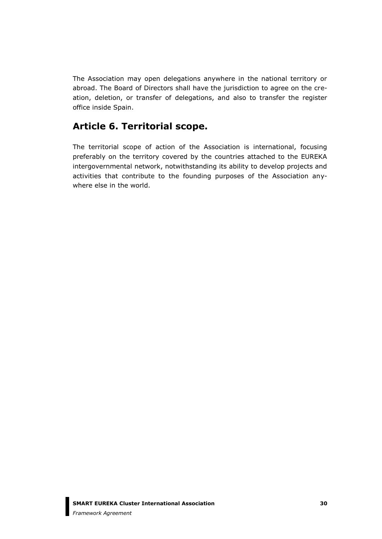The Association may open delegations anywhere in the national territory or abroad. The Board of Directors shall have the jurisdiction to agree on the creation, deletion, or transfer of delegations, and also to transfer the register office inside Spain.

## **Article 6. Territorial scope.**

The territorial scope of action of the Association is international, focusing preferably on the territory covered by the countries attached to the EUREKA intergovernmental network, notwithstanding its ability to develop projects and activities that contribute to the founding purposes of the Association anywhere else in the world.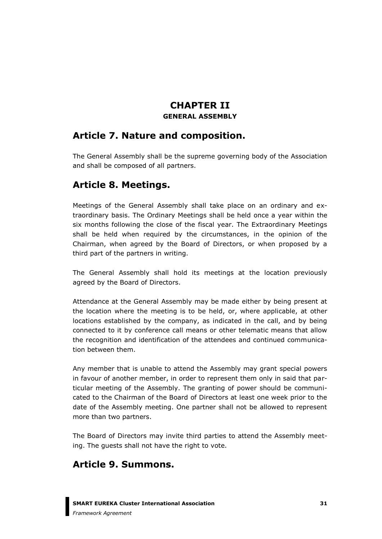### **CHAPTER II GENERAL ASSEMBLY**

## **Article 7. Nature and composition.**

The General Assembly shall be the supreme governing body of the Association and shall be composed of all partners.

## **Article 8. Meetings.**

Meetings of the General Assembly shall take place on an ordinary and extraordinary basis. The Ordinary Meetings shall be held once a year within the six months following the close of the fiscal year. The Extraordinary Meetings shall be held when required by the circumstances, in the opinion of the Chairman, when agreed by the Board of Directors, or when proposed by a third part of the partners in writing.

The General Assembly shall hold its meetings at the location previously agreed by the Board of Directors.

Attendance at the General Assembly may be made either by being present at the location where the meeting is to be held, or, where applicable, at other locations established by the company, as indicated in the call, and by being connected to it by conference call means or other telematic means that allow the recognition and identification of the attendees and continued communication between them.

Any member that is unable to attend the Assembly may grant special powers in favour of another member, in order to represent them only in said that particular meeting of the Assembly. The granting of power should be communicated to the Chairman of the Board of Directors at least one week prior to the date of the Assembly meeting. One partner shall not be allowed to represent more than two partners.

The Board of Directors may invite third parties to attend the Assembly meeting. The guests shall not have the right to vote.

# **Article 9. Summons.**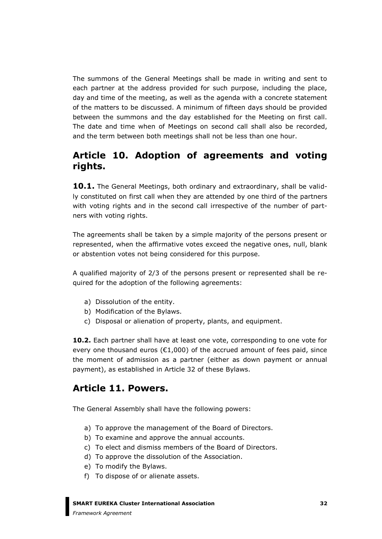The summons of the General Meetings shall be made in writing and sent to each partner at the address provided for such purpose, including the place, day and time of the meeting, as well as the agenda with a concrete statement of the matters to be discussed. A minimum of fifteen days should be provided between the summons and the day established for the Meeting on first call. The date and time when of Meetings on second call shall also be recorded, and the term between both meetings shall not be less than one hour.

## **Article 10. Adoption of agreements and voting rights.**

**10.1.** The General Meetings, both ordinary and extraordinary, shall be validly constituted on first call when they are attended by one third of the partners with voting rights and in the second call irrespective of the number of partners with voting rights.

The agreements shall be taken by a simple majority of the persons present or represented, when the affirmative votes exceed the negative ones, null, blank or abstention votes not being considered for this purpose.

A qualified majority of 2/3 of the persons present or represented shall be required for the adoption of the following agreements:

- a) Dissolution of the entity.
- b) Modification of the Bylaws.
- c) Disposal or alienation of property, plants, and equipment.

**10.2.** Each partner shall have at least one vote, corresponding to one vote for every one thousand euros ( $E1,000$ ) of the accrued amount of fees paid, since the moment of admission as a partner (either as down payment or annual payment), as established in Article 32 of these Bylaws.

### **Article 11. Powers.**

The General Assembly shall have the following powers:

- a) To approve the management of the Board of Directors.
- b) To examine and approve the annual accounts.
- c) To elect and dismiss members of the Board of Directors.
- d) To approve the dissolution of the Association.
- e) To modify the Bylaws.
- f) To dispose of or alienate assets.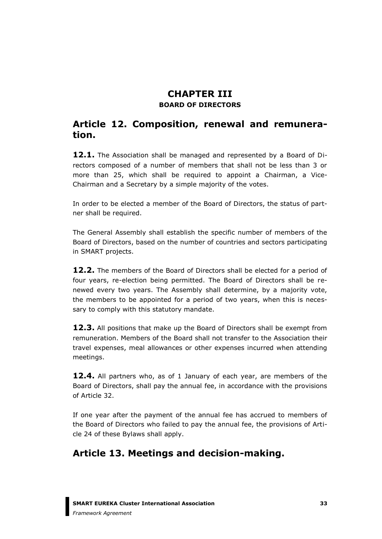## **CHAPTER III BOARD OF DIRECTORS**

## **Article 12. Composition, renewal and remuneration.**

12.1. The Association shall be managed and represented by a Board of Directors composed of a number of members that shall not be less than 3 or more than 25, which shall be required to appoint a Chairman, a Vice-Chairman and a Secretary by a simple majority of the votes.

In order to be elected a member of the Board of Directors, the status of partner shall be required.

The General Assembly shall establish the specific number of members of the Board of Directors, based on the number of countries and sectors participating in SMART projects.

**12.2.** The members of the Board of Directors shall be elected for a period of four years, re-election being permitted. The Board of Directors shall be renewed every two years. The Assembly shall determine, by a majority vote, the members to be appointed for a period of two years, when this is necessary to comply with this statutory mandate.

**12.3.** All positions that make up the Board of Directors shall be exempt from remuneration. Members of the Board shall not transfer to the Association their travel expenses, meal allowances or other expenses incurred when attending meetings.

**12.4.** All partners who, as of 1 January of each year, are members of the Board of Directors, shall pay the annual fee, in accordance with the provisions of Article 32.

If one year after the payment of the annual fee has accrued to members of the Board of Directors who failed to pay the annual fee, the provisions of Article 24 of these Bylaws shall apply.

# **Article 13. Meetings and decision-making.**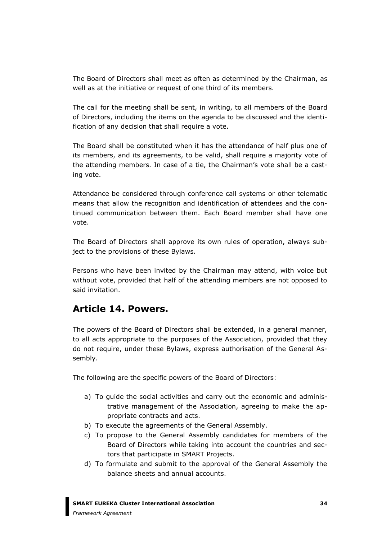The Board of Directors shall meet as often as determined by the Chairman, as well as at the initiative or request of one third of its members.

The call for the meeting shall be sent, in writing, to all members of the Board of Directors, including the items on the agenda to be discussed and the identification of any decision that shall require a vote.

The Board shall be constituted when it has the attendance of half plus one of its members, and its agreements, to be valid, shall require a majority vote of the attending members. In case of a tie, the Chairman's vote shall be a casting vote.

Attendance be considered through conference call systems or other telematic means that allow the recognition and identification of attendees and the continued communication between them. Each Board member shall have one vote.

The Board of Directors shall approve its own rules of operation, always subject to the provisions of these Bylaws.

Persons who have been invited by the Chairman may attend, with voice but without vote, provided that half of the attending members are not opposed to said invitation.

### **Article 14. Powers.**

The powers of the Board of Directors shall be extended, in a general manner, to all acts appropriate to the purposes of the Association, provided that they do not require, under these Bylaws, express authorisation of the General Assembly.

The following are the specific powers of the Board of Directors:

- a) To guide the social activities and carry out the economic and administrative management of the Association, agreeing to make the appropriate contracts and acts.
- b) To execute the agreements of the General Assembly.
- c) To propose to the General Assembly candidates for members of the Board of Directors while taking into account the countries and sectors that participate in SMART Projects.
- d) To formulate and submit to the approval of the General Assembly the balance sheets and annual accounts.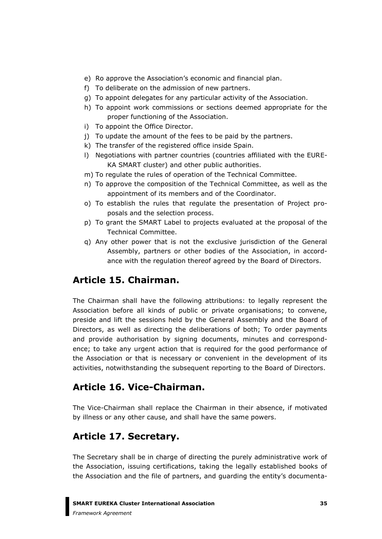- e) Ro approve the Association's economic and financial plan.
- f) To deliberate on the admission of new partners.
- g) To appoint delegates for any particular activity of the Association.
- h) To appoint work commissions or sections deemed appropriate for the proper functioning of the Association.
- i) To appoint the Office Director.
- j) To update the amount of the fees to be paid by the partners.
- k) The transfer of the registered office inside Spain.
- l) Negotiations with partner countries (countries affiliated with the EURE-KA SMART cluster) and other public authorities.
- m) To regulate the rules of operation of the Technical Committee.
- n) To approve the composition of the Technical Committee, as well as the appointment of its members and of the Coordinator.
- o) To establish the rules that regulate the presentation of Project proposals and the selection process.
- p) To grant the SMART Label to projects evaluated at the proposal of the Technical Committee.
- q) Any other power that is not the exclusive jurisdiction of the General Assembly, partners or other bodies of the Association, in accordance with the regulation thereof agreed by the Board of Directors.

## **Article 15. Chairman.**

The Chairman shall have the following attributions: to legally represent the Association before all kinds of public or private organisations; to convene, preside and lift the sessions held by the General Assembly and the Board of Directors, as well as directing the deliberations of both; To order payments and provide authorisation by signing documents, minutes and correspondence; to take any urgent action that is required for the good performance of the Association or that is necessary or convenient in the development of its activities, notwithstanding the subsequent reporting to the Board of Directors.

## **Article 16. Vice-Chairman.**

The Vice-Chairman shall replace the Chairman in their absence, if motivated by illness or any other cause, and shall have the same powers.

## **Article 17. Secretary.**

The Secretary shall be in charge of directing the purely administrative work of the Association, issuing certifications, taking the legally established books of the Association and the file of partners, and guarding the entity's documenta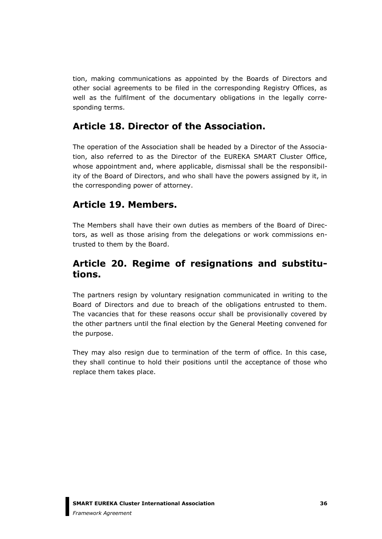tion, making communications as appointed by the Boards of Directors and other social agreements to be filed in the corresponding Registry Offices, as well as the fulfilment of the documentary obligations in the legally corresponding terms.

## **Article 18. Director of the Association.**

The operation of the Association shall be headed by a Director of the Association, also referred to as the Director of the EUREKA SMART Cluster Office, whose appointment and, where applicable, dismissal shall be the responsibility of the Board of Directors, and who shall have the powers assigned by it, in the corresponding power of attorney.

## **Article 19. Members.**

The Members shall have their own duties as members of the Board of Directors, as well as those arising from the delegations or work commissions entrusted to them by the Board.

## **Article 20. Regime of resignations and substitutions.**

The partners resign by voluntary resignation communicated in writing to the Board of Directors and due to breach of the obligations entrusted to them. The vacancies that for these reasons occur shall be provisionally covered by the other partners until the final election by the General Meeting convened for the purpose.

They may also resign due to termination of the term of office. In this case, they shall continue to hold their positions until the acceptance of those who replace them takes place.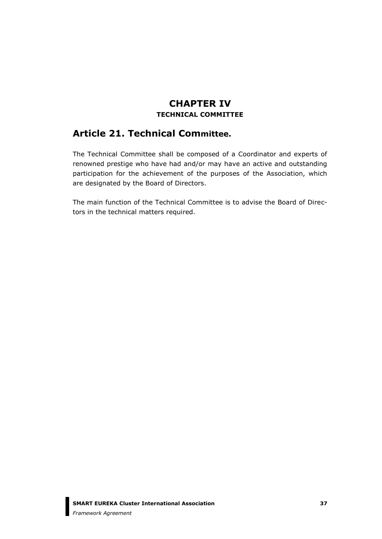## **CHAPTER IV TECHNICAL COMMITTEE**

# **Article 21. Technical Committee.**

The Technical Committee shall be composed of a Coordinator and experts of renowned prestige who have had and/or may have an active and outstanding participation for the achievement of the purposes of the Association, which are designated by the Board of Directors.

The main function of the Technical Committee is to advise the Board of Directors in the technical matters required.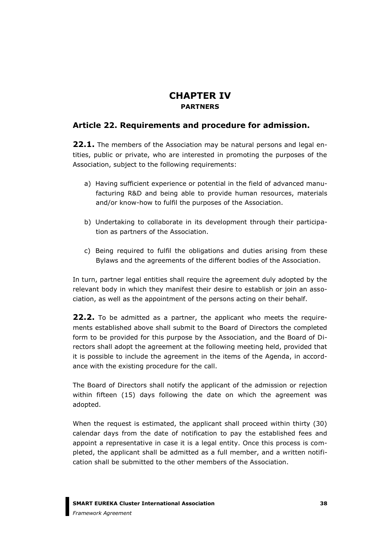## **CHAPTER IV PARTNERS**

### **Article 22. Requirements and procedure for admission.**

**22.1.** The members of the Association may be natural persons and legal entities, public or private, who are interested in promoting the purposes of the Association, subject to the following requirements:

- a) Having sufficient experience or potential in the field of advanced manufacturing R&D and being able to provide human resources, materials and/or know-how to fulfil the purposes of the Association.
- b) Undertaking to collaborate in its development through their participation as partners of the Association.
- c) Being required to fulfil the obligations and duties arising from these Bylaws and the agreements of the different bodies of the Association.

In turn, partner legal entities shall require the agreement duly adopted by the relevant body in which they manifest their desire to establish or join an association, as well as the appointment of the persons acting on their behalf.

**22.2.** To be admitted as a partner, the applicant who meets the requirements established above shall submit to the Board of Directors the completed form to be provided for this purpose by the Association, and the Board of Directors shall adopt the agreement at the following meeting held, provided that it is possible to include the agreement in the items of the Agenda, in accordance with the existing procedure for the call.

The Board of Directors shall notify the applicant of the admission or rejection within fifteen (15) days following the date on which the agreement was adopted.

When the request is estimated, the applicant shall proceed within thirty (30) calendar days from the date of notification to pay the established fees and appoint a representative in case it is a legal entity. Once this process is completed, the applicant shall be admitted as a full member, and a written notification shall be submitted to the other members of the Association.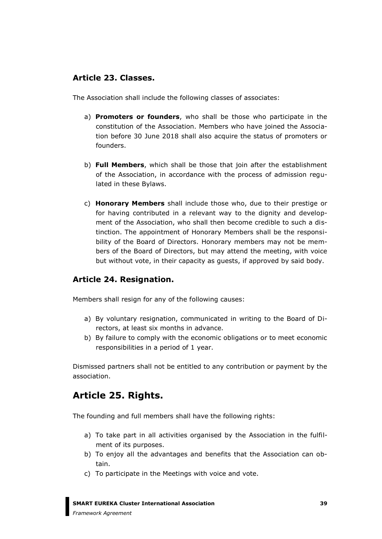### **Article 23. Classes.**

The Association shall include the following classes of associates:

- a) **Promoters or founders**, who shall be those who participate in the constitution of the Association. Members who have joined the Association before 30 June 2018 shall also acquire the status of promoters or founders.
- b) **Full Members**, which shall be those that join after the establishment of the Association, in accordance with the process of admission regulated in these Bylaws.
- c) **Honorary Members** shall include those who, due to their prestige or for having contributed in a relevant way to the dignity and development of the Association, who shall then become credible to such a distinction. The appointment of Honorary Members shall be the responsibility of the Board of Directors. Honorary members may not be members of the Board of Directors, but may attend the meeting, with voice but without vote, in their capacity as guests, if approved by said body.

### **Article 24. Resignation.**

Members shall resign for any of the following causes:

- a) By voluntary resignation, communicated in writing to the Board of Directors, at least six months in advance.
- b) By failure to comply with the economic obligations or to meet economic responsibilities in a period of 1 year.

Dismissed partners shall not be entitled to any contribution or payment by the association.

## **Article 25. Rights.**

The founding and full members shall have the following rights:

- a) To take part in all activities organised by the Association in the fulfilment of its purposes.
- b) To enjoy all the advantages and benefits that the Association can obtain.
- c) To participate in the Meetings with voice and vote.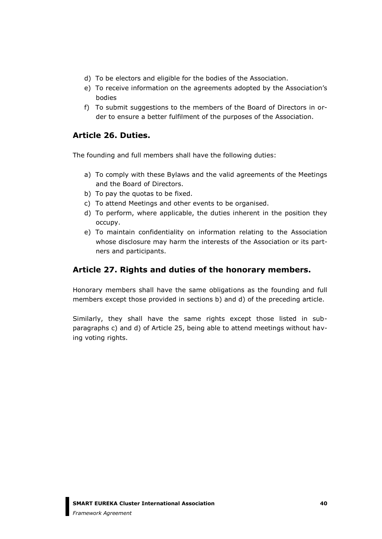- d) To be electors and eligible for the bodies of the Association.
- e) To receive information on the agreements adopted by the Association's bodies
- f) To submit suggestions to the members of the Board of Directors in order to ensure a better fulfilment of the purposes of the Association.

### **Article 26. Duties.**

The founding and full members shall have the following duties:

- a) To comply with these Bylaws and the valid agreements of the Meetings and the Board of Directors.
- b) To pay the quotas to be fixed.
- c) To attend Meetings and other events to be organised.
- d) To perform, where applicable, the duties inherent in the position they occupy.
- e) To maintain confidentiality on information relating to the Association whose disclosure may harm the interests of the Association or its partners and participants.

### **Article 27. Rights and duties of the honorary members.**

Honorary members shall have the same obligations as the founding and full members except those provided in sections b) and d) of the preceding article.

Similarly, they shall have the same rights except those listed in subparagraphs c) and d) of Article 25, being able to attend meetings without having voting rights.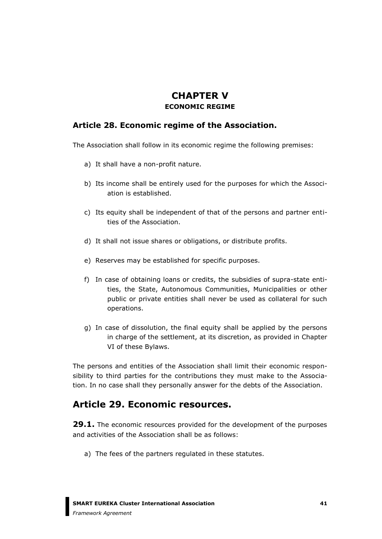## **CHAPTER V ECONOMIC REGIME**

### **Article 28. Economic regime of the Association.**

The Association shall follow in its economic regime the following premises:

- a) It shall have a non-profit nature.
- b) Its income shall be entirely used for the purposes for which the Association is established.
- c) Its equity shall be independent of that of the persons and partner entities of the Association.
- d) It shall not issue shares or obligations, or distribute profits.
- e) Reserves may be established for specific purposes.
- f) In case of obtaining loans or credits, the subsidies of supra-state entities, the State, Autonomous Communities, Municipalities or other public or private entities shall never be used as collateral for such operations.
- g) In case of dissolution, the final equity shall be applied by the persons in charge of the settlement, at its discretion, as provided in Chapter VI of these Bylaws.

The persons and entities of the Association shall limit their economic responsibility to third parties for the contributions they must make to the Association. In no case shall they personally answer for the debts of the Association.

## **Article 29. Economic resources.**

**29.1.** The economic resources provided for the development of the purposes and activities of the Association shall be as follows:

a) The fees of the partners regulated in these statutes.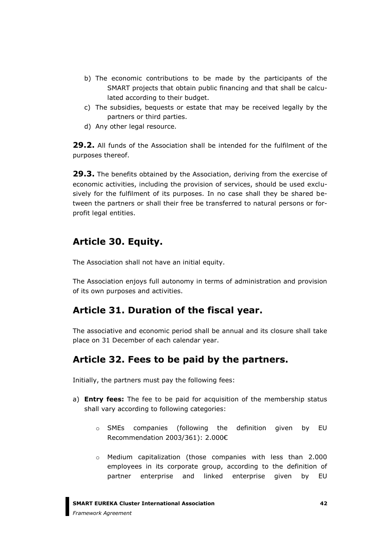- b) The economic contributions to be made by the participants of the SMART projects that obtain public financing and that shall be calculated according to their budget.
- c) The subsidies, bequests or estate that may be received legally by the partners or third parties.
- d) Any other legal resource.

**29.2.** All funds of the Association shall be intended for the fulfilment of the purposes thereof.

**29.3.** The benefits obtained by the Association, deriving from the exercise of economic activities, including the provision of services, should be used exclusively for the fulfilment of its purposes. In no case shall they be shared between the partners or shall their free be transferred to natural persons or forprofit legal entities.

# **Article 30. Equity.**

The Association shall not have an initial equity.

The Association enjoys full autonomy in terms of administration and provision of its own purposes and activities.

# **Article 31. Duration of the fiscal year.**

The associative and economic period shall be annual and its closure shall take place on 31 December of each calendar year.

# **Article 32. Fees to be paid by the partners.**

Initially, the partners must pay the following fees:

- a) **Entry fees:** The fee to be paid for acquisition of the membership status shall vary according to following categories:
	- o SMEs companies (following the definition given by EU Recommendation 2003/361): 2.000€
	- o Medium capitalization (those companies with less than 2.000 employees in its corporate group, according to the definition of partner enterprise and linked enterprise given by EU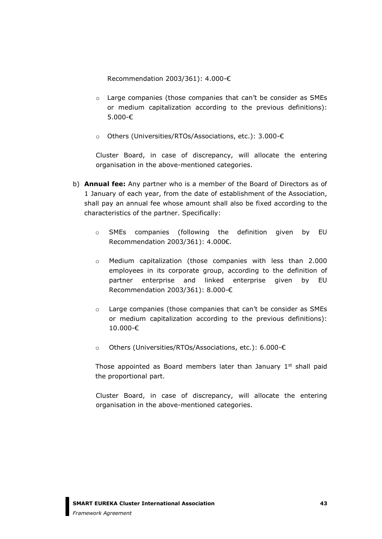Recommendation 2003/361): 4.000-€

- o Large companies (those companies that can't be consider as SMEs or medium capitalization according to the previous definitions): 5.000-€
- o Others (Universities/RTOs/Associations, etc.): 3.000-€

Cluster Board, in case of discrepancy, will allocate the entering organisation in the above-mentioned categories.

- b) **Annual fee:** Any partner who is a member of the Board of Directors as of 1 January of each year, from the date of establishment of the Association, shall pay an annual fee whose amount shall also be fixed according to the characteristics of the partner. Specifically:
	- o SMEs companies (following the definition given by EU Recommendation 2003/361): 4.000€.
	- o Medium capitalization (those companies with less than 2.000 employees in its corporate group, according to the definition of partner enterprise and linked enterprise given by EU Recommendation 2003/361): 8.000-€
	- o Large companies (those companies that can't be consider as SMEs or medium capitalization according to the previous definitions): 10.000-€
	- o Others (Universities/RTOs/Associations, etc.): 6.000-€

Those appointed as Board members later than January  $1<sup>st</sup>$  shall paid the proportional part.

Cluster Board, in case of discrepancy, will allocate the entering organisation in the above-mentioned categories.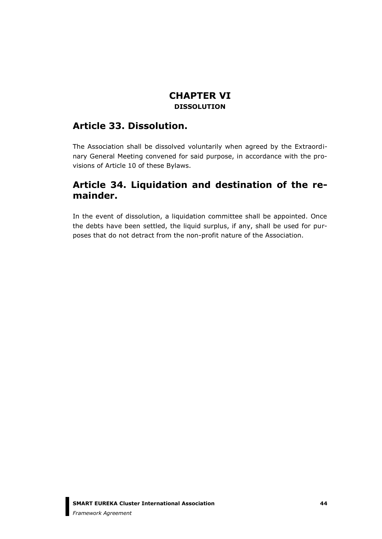### **CHAPTER VI DISSOLUTION**

## **Article 33. Dissolution.**

The Association shall be dissolved voluntarily when agreed by the Extraordinary General Meeting convened for said purpose, in accordance with the provisions of Article 10 of these Bylaws.

## **Article 34. Liquidation and destination of the remainder.**

In the event of dissolution, a liquidation committee shall be appointed. Once the debts have been settled, the liquid surplus, if any, shall be used for purposes that do not detract from the non-profit nature of the Association.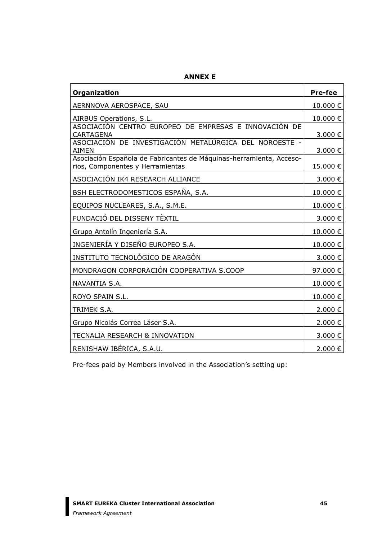| Organization                                                                                            | <b>Pre-fee</b>   |  |  |
|---------------------------------------------------------------------------------------------------------|------------------|--|--|
| AERNNOVA AEROSPACE, SAU                                                                                 |                  |  |  |
| AIRBUS Operations, S.L.                                                                                 |                  |  |  |
| ASOCIACIÓN CENTRO EUROPEO DE EMPRESAS E INNOVACIÓN DE<br><b>CARTAGENA</b>                               |                  |  |  |
| ASOCIACIÓN DE INVESTIGACIÓN METALÚRGICA DEL NOROESTE -<br><b>AIMEN</b>                                  | 3.000€<br>3.000€ |  |  |
| Asociación Española de Fabricantes de Máquinas-herramienta, Acceso-<br>rios, Componentes y Herramientas | 15.000€          |  |  |
| ASOCIACIÓN IK4 RESEARCH ALLIANCE                                                                        | 3.000€           |  |  |
| BSH ELECTRODOMESTICOS ESPAÑA, S.A.                                                                      | 10.000€          |  |  |
| EQUIPOS NUCLEARES, S.A., S.M.E.                                                                         |                  |  |  |
| FUNDACIÓ DEL DISSENY TÈXTIL                                                                             |                  |  |  |
| Grupo Antolín Ingeniería S.A.                                                                           | 10.000€          |  |  |
| INGENIERÍA Y DISEÑO EUROPEO S.A.                                                                        |                  |  |  |
| INSTITUTO TECNOLÓGICO DE ARAGÓN                                                                         | 3.000€           |  |  |
| MONDRAGON CORPORACIÓN COOPERATIVA S.COOP                                                                | 97.000€          |  |  |
| NAVANTIA S.A.                                                                                           |                  |  |  |
| ROYO SPAIN S.L.                                                                                         |                  |  |  |
| TRIMEK S.A.                                                                                             |                  |  |  |
| Grupo Nicolás Correa Láser S.A.                                                                         |                  |  |  |
| TECNALIA RESEARCH & INNOVATION                                                                          |                  |  |  |
| RENISHAW IBÉRICA, S.A.U.                                                                                |                  |  |  |

**ANNEX E**

Pre-fees paid by Members involved in the Association's setting up: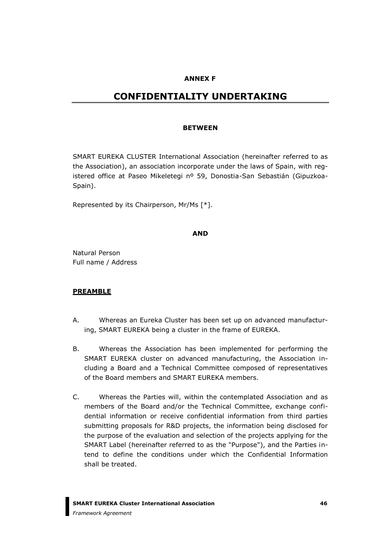#### **ANNEX F**

### **CONFIDENTIALITY UNDERTAKING**

#### **BETWEEN**

SMART EUREKA CLUSTER International Association (hereinafter referred to as the Association), an association incorporate under the laws of Spain, with registered office at Paseo Mikeletegi nº 59, Donostia-San Sebastián (Gipuzkoa-Spain).

Represented by its Chairperson, Mr/Ms [\*].

#### **AND**

Natural Person Full name / Address

#### **PREAMBLE**

- A. Whereas an Eureka Cluster has been set up on advanced manufacturing, SMART EUREKA being a cluster in the frame of EUREKA.
- B. Whereas the Association has been implemented for performing the SMART EUREKA cluster on advanced manufacturing, the Association including a Board and a Technical Committee composed of representatives of the Board members and SMART EUREKA members.
- C. Whereas the Parties will, within the contemplated Association and as members of the Board and/or the Technical Committee, exchange confidential information or receive confidential information from third parties submitting proposals for R&D projects, the information being disclosed for the purpose of the evaluation and selection of the projects applying for the SMART Label (hereinafter referred to as the "Purpose"), and the Parties intend to define the conditions under which the Confidential Information shall be treated.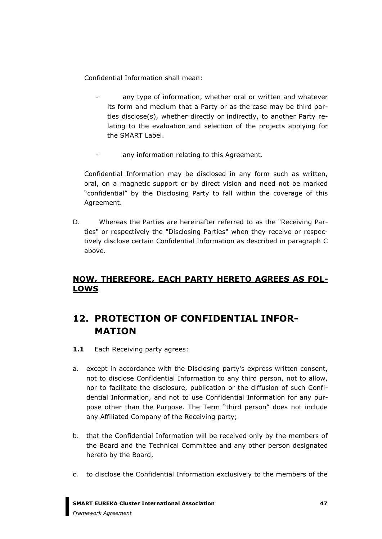Confidential Information shall mean:

- any type of information, whether oral or written and whatever its form and medium that a Party or as the case may be third parties disclose(s), whether directly or indirectly, to another Party relating to the evaluation and selection of the projects applying for the SMART Label.
- any information relating to this Agreement.

Confidential Information may be disclosed in any form such as written, oral, on a magnetic support or by direct vision and need not be marked "confidential" by the Disclosing Party to fall within the coverage of this Agreement.

D. Whereas the Parties are hereinafter referred to as the "Receiving Parties" or respectively the "Disclosing Parties" when they receive or respectively disclose certain Confidential Information as described in paragraph C above.

### **NOW, THEREFORE, EACH PARTY HERETO AGREES AS FOL-LOWS**

# **12. PROTECTION OF CONFIDENTIAL INFOR-MATION**

- 1.1 Each Receiving party agrees:
- a. except in accordance with the Disclosing party's express written consent, not to disclose Confidential Information to any third person, not to allow, nor to facilitate the disclosure, publication or the diffusion of such Confidential Information, and not to use Confidential Information for any purpose other than the Purpose. The Term "third person" does not include any Affiliated Company of the Receiving party;
- b. that the Confidential Information will be received only by the members of the Board and the Technical Committee and any other person designated hereto by the Board,
- c. to disclose the Confidential Information exclusively to the members of the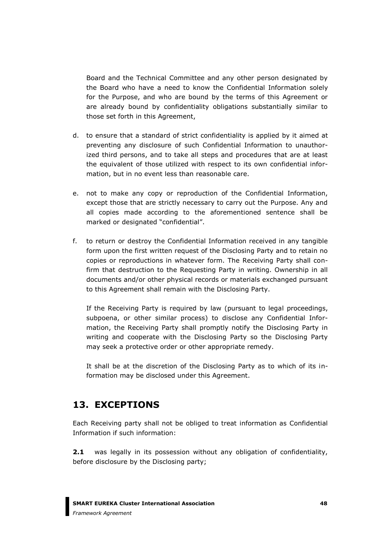Board and the Technical Committee and any other person designated by the Board who have a need to know the Confidential Information solely for the Purpose, and who are bound by the terms of this Agreement or are already bound by confidentiality obligations substantially similar to those set forth in this Agreement,

- d. to ensure that a standard of strict confidentiality is applied by it aimed at preventing any disclosure of such Confidential Information to unauthorized third persons, and to take all steps and procedures that are at least the equivalent of those utilized with respect to its own confidential information, but in no event less than reasonable care.
- e. not to make any copy or reproduction of the Confidential Information, except those that are strictly necessary to carry out the Purpose. Any and all copies made according to the aforementioned sentence shall be marked or designated "confidential".
- f. to return or destroy the Confidential Information received in any tangible form upon the first written request of the Disclosing Party and to retain no copies or reproductions in whatever form. The Receiving Party shall confirm that destruction to the Requesting Party in writing. Ownership in all documents and/or other physical records or materials exchanged pursuant to this Agreement shall remain with the Disclosing Party.

If the Receiving Party is required by law (pursuant to legal proceedings, subpoena, or other similar process) to disclose any Confidential Information, the Receiving Party shall promptly notify the Disclosing Party in writing and cooperate with the Disclosing Party so the Disclosing Party may seek a protective order or other appropriate remedy.

It shall be at the discretion of the Disclosing Party as to which of its information may be disclosed under this Agreement.

## **13. EXCEPTIONS**

Each Receiving party shall not be obliged to treat information as Confidential Information if such information:

**2.1** was legally in its possession without any obligation of confidentiality, before disclosure by the Disclosing party;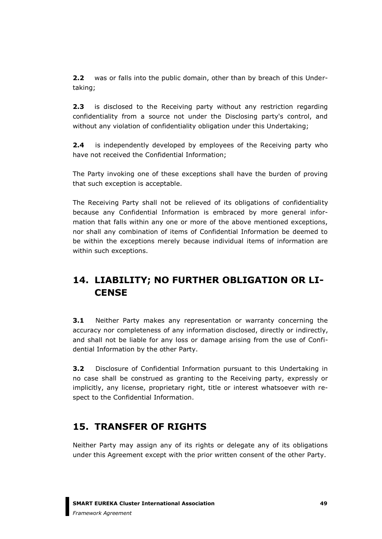**2.2** was or falls into the public domain, other than by breach of this Undertaking;

**2.3** is disclosed to the Receiving party without any restriction regarding confidentiality from a source not under the Disclosing party's control, and without any violation of confidentiality obligation under this Undertaking;

**2.4** is independently developed by employees of the Receiving party who have not received the Confidential Information;

The Party invoking one of these exceptions shall have the burden of proving that such exception is acceptable.

The Receiving Party shall not be relieved of its obligations of confidentiality because any Confidential Information is embraced by more general information that falls within any one or more of the above mentioned exceptions, nor shall any combination of items of Confidential Information be deemed to be within the exceptions merely because individual items of information are within such exceptions.

# **14. LIABILITY; NO FURTHER OBLIGATION OR LI-CENSE**

**3.1** Neither Party makes any representation or warranty concerning the accuracy nor completeness of any information disclosed, directly or indirectly, and shall not be liable for any loss or damage arising from the use of Confidential Information by the other Party.

**3.2** Disclosure of Confidential Information pursuant to this Undertaking in no case shall be construed as granting to the Receiving party, expressly or implicitly, any license, proprietary right, title or interest whatsoever with respect to the Confidential Information.

# **15. TRANSFER OF RIGHTS**

Neither Party may assign any of its rights or delegate any of its obligations under this Agreement except with the prior written consent of the other Party.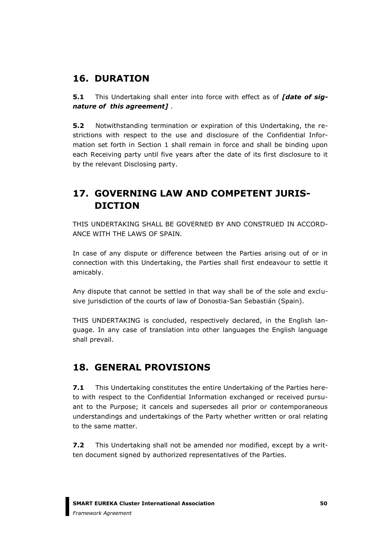## **16. DURATION**

**5.1** This Undertaking shall enter into force with effect as of *[date of signature of this agreement]* .

**5.2** Notwithstanding termination or expiration of this Undertaking, the restrictions with respect to the use and disclosure of the Confidential Information set forth in Section 1 shall remain in force and shall be binding upon each Receiving party until five years after the date of its first disclosure to it by the relevant Disclosing party.

# **17. GOVERNING LAW AND COMPETENT JURIS-DICTION**

THIS UNDERTAKING SHALL BE GOVERNED BY AND CONSTRUED IN ACCORD-ANCE WITH THE LAWS OF SPAIN.

In case of any dispute or difference between the Parties arising out of or in connection with this Undertaking, the Parties shall first endeavour to settle it amicably.

Any dispute that cannot be settled in that way shall be of the sole and exclusive jurisdiction of the courts of law of Donostia-San Sebastián (Spain).

THIS UNDERTAKING is concluded, respectively declared, in the English language. In any case of translation into other languages the English language shall prevail.

# **18. GENERAL PROVISIONS**

**7.1** This Undertaking constitutes the entire Undertaking of the Parties hereto with respect to the Confidential Information exchanged or received pursuant to the Purpose; it cancels and supersedes all prior or contemporaneous understandings and undertakings of the Party whether written or oral relating to the same matter.

**7.2** This Undertaking shall not be amended nor modified, except by a written document signed by authorized representatives of the Parties.